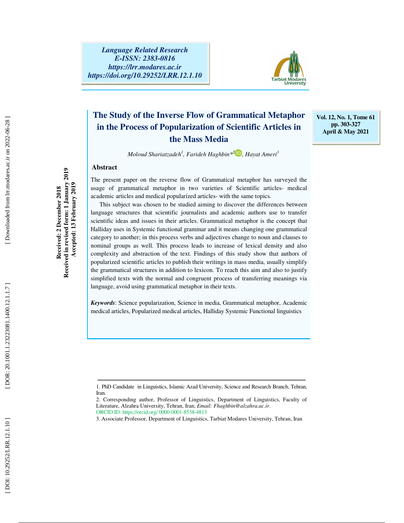

# **The Study of the Inverse Flow of Grammatical Metaphor in the Process of Popularization of Scientific Articles in the Mass Media**

**Vol. 12, No. 1, Tome 61 pp. 303-327 April & May 2021** 

*Moloud Shariatzadeh 1 , Farideh Haghbin\* 2 , Hayat Ameri 3*

# **Abstract**

The present paper on the reverse flow of Grammatical metaphor has surveyed the usage of grammatical metaphor in two varieties of Scientific articles- medical academic articles and medical popularized articles- with the same topics.

This subject was chosen to be studied aiming to discover the differences between language structures that scientific journalists and academic authors use to transfer scientific ideas and issues in their articles. Grammatical metaphor is the concept that Halliday uses in Systemic functional grammar and it means changing one grammatical category to another; in this process verbs and adjectives change to noun and clauses to nominal groups as well. This process leads to increase of lexical density and also complexity and abstraction of the text. Findings of this study show that authors of popularized scientific articles to publish their writings in mass media, usually simplify the grammatical structures in addition to lexicon. To reach this aim and also to justify simplified texts with the normal and congruent process of transferring meanings via language, avoid using grammatical metaphor in their texts.

*Keywords*: Science popularization, Science in media, Grammatical metaphor, Academic medical articles, Popularized medical articles, Halliday Systemic Functional linguistics

Downloaded from lrr.modares.ac.ir on 2022-06-28

ــــــــــــــــــــــــــــــــــــــــــــــــــــــــــــــــــــــــــــــــــــــــــــــــــــــــــــــــــــــــــــــــــــــــ 1. PhD Candidate in Linguistics, Islamic Azad University, Science and Research Branch, Tehran, Iran.

<sup>2.</sup> Corresponding author, Professor of Linguistics, Department of Linguistics, Faculty of Literature, Alzahra University, Tehran, Iran; *Email: Fhaghbin@alzahra.ac.ir*, ORCID ID: https://orcid.org/ 0000-0001-8538-4813

<sup>3.</sup> Associate Professor, Department of Linguistics, Tarbiat Modares University, Tehran, Iran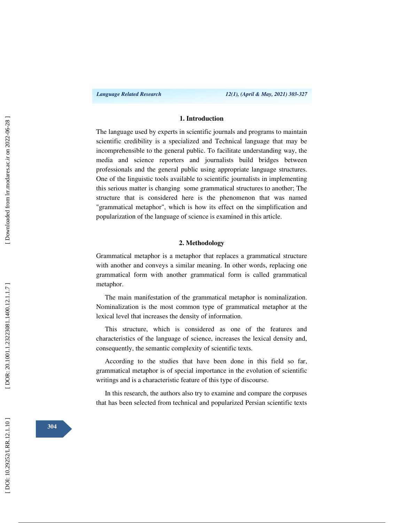### **1. Introduction**

The language used by experts in scientific journals and programs to maintain scientific credibility is a specialized and Technical language that may be incomprehensible to the general public. To facilitate understanding way, the media and science reporters and journalists build bridges between professionals and the general public using appropriate language structures. One of the linguistic tools available to scientific journalists in implementing this serious matter is changing some grammatical structures to another; The structure that is considered here is the phenomenon that was named "grammatical metaphor", which is how its effect on the simplification and popularization of the language of science is examined in this article.

# **2. Methodology**

Grammatical metaphor is a metaphor that replaces a grammatical structure with another and conveys a similar meaning. In other words, replacing one grammatical form with another grammatical form is called grammatical metaphor.

The main manifestation of the grammatical metaphor is nominalization. Nominalization is the most common type of grammatical metaphor at the lexical level that increases the density of information.

This structure, which is considered as one of the features and characteristics of the language of science, increases the lexical density and, consequently, the semantic complexity of scientific texts.

According to the studies that have been done in this field so far, grammatical metaphor is of special importance in the evolution of scientific writings and is a characteristic feature of this type of discourse.

In this research, the authors also try to examine and compare the corpuses that has been selected from technical and popularized Persian scientific texts

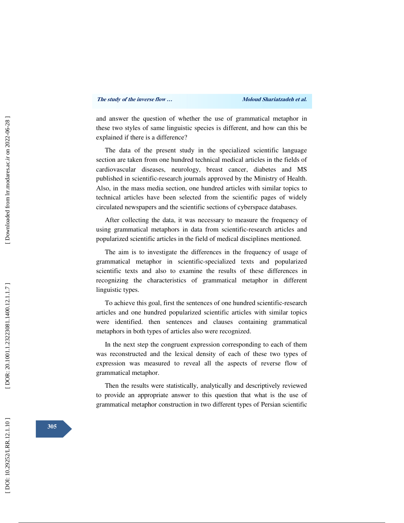and answer the question of whether the use of grammatical metaphor in these two styles of same linguistic species is different, and how can this be explained if there is a difference?

The data of the present study in the specialized scientific language section are taken from one hundred technical medical articles in the fields of cardiovascular diseases, neurology, breast cancer, diabetes and MS published in scientific-research journals approved by the Ministry of Health. Also, in the mass media section, one hundred articles with similar topics to technical articles have been selected from the scientific pages of widely circulated newspapers and the scientific sections of cyberspace databases.

After collecting the data, it was necessary to measure the frequency of using grammatical metaphors in data from scientific-research articles and popularized scientific articles in the field of medical disciplines mentioned.

The aim is to investigate the differences in the frequency of usage of grammatical metaphor in scientific-specialized texts and popularized scientific texts and also to examine the results of these differences in recognizing the characteristics of grammatical metaphor in different linguistic types.

To achieve this goal, first the sentences of one hundred scientific-research articles and one hundred popularized scientific articles with similar topics were identified. then sentences and clauses containing grammatical metaphors in both types of articles also were recognized.

In the next step the congruent expression corresponding to each of them was reconstructed and the lexical density of each of these two types of expression was measured to reveal all the aspects of reverse flow of grammatical metaphor.

Then the results were statistically, analytically and descriptively reviewed to provide an appropriate answer to this question that what is the use of grammatical metaphor construction in two different types of Persian scientific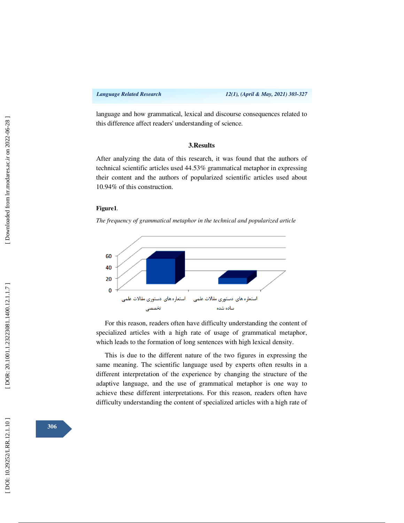language and how grammatical, lexical and discourse consequences related to this difference affect readers' understanding of science.

# **3.Results**

After analyzing the data of this research, it was found that the authors of technical scientific articles used 44.53% grammatical metaphor in expressing their content and the authors of popularized scientific articles used about 10.94% of this construction.

#### **Figure1***.*

*The frequency of grammatical metaphor in the technical and popularized article* 



For this reason, readers often have difficulty understanding the content of specialized articles with a high rate of usage of grammatical metaphor, which leads to the formation of long sentences with high lexical density.

This is due to the different nature of the two figures in expressing the same meaning. The scientific language used by experts often results in a different interpretation of the experience by changing the structure of the adaptive language, and the use of grammatical metaphor is one way to achieve these different interpretations. For this reason, readers often have difficulty understanding the content of specialized articles with a high rate of

**306**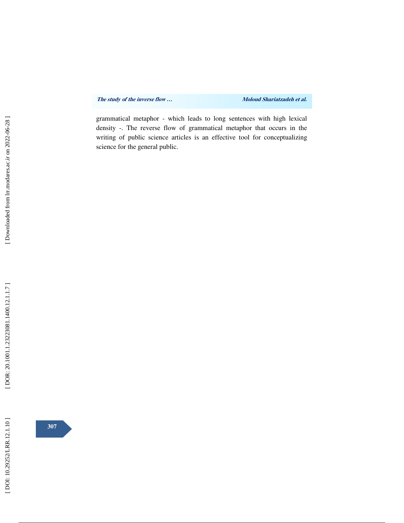grammatical metaphor - which leads to long sentences with high lexical density -. The reverse flow of grammatical metaphor that occurs in the writing of public science articles is an effective tool for conceptualizing science for the general public.



**307**

[DOR: 20.1001.1.23223081.1400.12.1.1.7]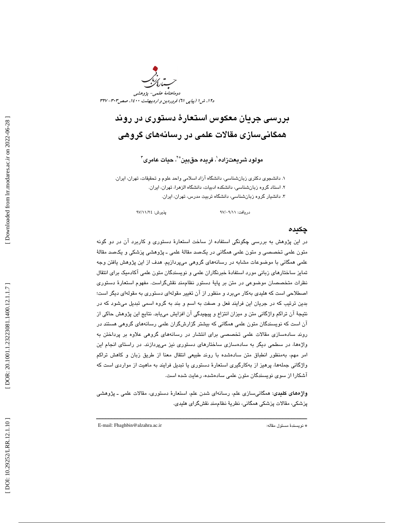

# بررسي جريان معكوس استعار ة دستوري در روند همگانيسازي مقالات علمي در رسانههاي گروهي

مولود شريعتزاده'، فريده حقبين\*'، حيات عامرى''

. دانشجوي دكتري زبانشناسي، دانشگاه آزاد اسلامي واحد علوم و تحقيقات، تهران، ايران. 1 ا. 2 ستاد گروه زبانشناسي، دانشكده ادبيات، دانشگاه الزهرا، تهران، ايران. د. 3 انشيار گروه زبانشناسي ، دانشگاه تربيت مدرس، تهران، ايران.

دريافت: 11/ 09/ 97 پذيرش: 24/ 11/ 97

#### چكيده

در اين پژوهش به بررسي چگونگي استفاده از ساخت استعار ة دستوري و كاربرد آن در دو گونه متون علمي تخصصي و متون علمي همگاني در يكصد مقالهٔ علمي ـ پژوهشي پزشكي و يكصد مقالهٔ علمي همگاني با موضوعات مشابه در رسانههاي گروهي ميپردازيم. هدف از اين پژوهش يافتن وجه تمايز ساختارهاي زباني مورد استفاد ة خبرنگاران علمي و نويسندگان متون علمي آكادميك براي انتقال نظرات متخصصان موضوعي در متن بر پايهٔ دستور نظاممند نقشگراست. مفهوم استعارهٔ دستوری اصطلاحي است كه هليدي بهكار ميبرد و منظور از آن تغيير مقوله اي دستوري به مقولهاي ديگر است؛ بدين ترتيب كه در جريان اين فرايند فعل و صفت به اسم و بند به گروه اسمي تبديل ميشود كه در نتيجهٔ آن تراكم واژگاني متن و ميزان انتزاع و پيچيدگي آن افزايش مييابد. نتايج اين پژوهش حاكي از آن است كه نويسندگان متون علمي همگاني كه بيشتر گزارشگران علمي رسانههاي گروهي هستند در روند سادهسازي مقالات علمي تخصصي براي انتشار در رسانههاي گروهي علاوه بر پرداختن به واژهها، در سطحي ديگر به سادهسازي ساختارهاي دستوري نيز ميپردازند. در راستاي انجام اين امر مهم، بهمنظور انطباق متن سادهشده با روند طبيعي انتقال معنا از طريق زبان و كاهش تراكم واژگاني جملهها، پرهيز از بهكارگيري استعار ة دستوري يا تبديل فرايند به ماهيت از مواردي است كه آشكارا از سوي نويسندگان متون علمي سادهشده، رعايت شده است.

**واژههای کلیدی**: همگانیسازی علم، رسانهای شدن علم، استعارهٔ دستوری، مقالات علمی ــ پژوهشی پزشكي، مقالات پزشكي همگاني، نظريهٔ نظاممند نقشگراي هليدي.

ــــــــــــــــــــــــــــــــــــــــــــــــــــــــــــــــــــــــــــــــــــــــــــــــــــــــــــــــــــــــــــــــــــــــــ

E-mail: Fhaghbin@alzahra.ac.ir :مقاله مسئول نويسندة\*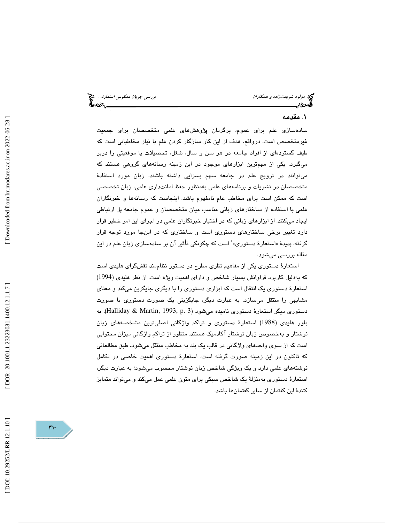مولود شريعت *زاده و همكاران بررسي جريان معكوس استعارة..*. م<sup>وقع</sup><br>مولاد بررسي جريان بررسي بررسي بررسي بررسي بررسي جريان معكوم استعارة...<br>**ال**حادث:

#### 1. مقدمه

سادهسازی علم برای عموم، برگردان پژوهشهای علمی متخصصان برای جمعیت غيرمتخصص است. درواقع، هدف از اين كار سازگار كردن علم با نياز مخاطباني است كه طيف گستردهاي از افراد جامعه در هر سن و سال، شغل، تحصيلات يا موقعيتي را دربر ميگيرد. يكي از مهمترين ابزارهاي موجود در اين زمينه رسانههاي گروهي هستند كه ميتوانند در ترويج علم در جامعه سهم بسزايي داشته باشند. زبان مورد استفاد ة متخصصان در نشريات و برنامههاي علمي به منظور حفظ امانتداري علمي، زبان تخصصي است كه ممكن است براي مخاطب عام نامفهوم باشد. اينجاست كه رسانهها و خبرنگاران علمي با استفاده از ساختارهاي زباني مناسب ميان متخصصان و عموم جامعه پل ارتباطي ايجاد ميكنند. از ابزارهاي زباني كه در اختيار خبرنگاران علمي در اجراي اين امر خطير قرار دارد تغییر برخی ساختارهای دستوری است و ساختاری که در اینجا مورد توجه قرار<br>گرفته، پدیدهٔ «استعارهٔ دستوری» ٰ است که چگونگی تأثیر آن بر سادهسازی زبان علم در این مقاله بررسي ميشود .

استعار ة دستوري يكي از مفاهيم نظري مطرح در دستور نظاممند نقشگراي هليدي است كه بهدليل كاربرد فراوانش بسيار شاخص و داراي اهميت ويژه است. از نظر هليدي (1994) استعارهٔ دستوری یک انتقال است که ابزاری دستوری را با دیگری جایگزین میکند و معنای مشابهي را منتقل ميسازد. به عبارت ديگر ، جايگزيني يك صورت دستوري با صورت دستوري ديگر استعارهٔ دستوري ناميده ميشود (3 .Halliday & Martin, 1993, p). به باور هليدي (1988) استعار ة دستوري و تراكم واژگاني اصليترين مشخصههاي زبان خصوص زبان نوشتار آكادميك هستند. منظور از تراكم واژگاني ميزان محتوايي نوشتار و به است كه از سوي واحدهاي واژگاني در قالب يك بند به مخاطب منتقل ميشود. طبق مطالعاتي كه تاكنون در اين زمينه صورت گرفته است، استعار ة دستوري اهميت خاصي در تكامل نوشتههاي علمي دارد و يك ويژگي شاخص زبان نوشتار محسوب ميشود؛ به عبارت ديگر ، استعار ة دستوري بهمنزلة يك شاخص سبكي براي متون علمي عمل ميكند و ميتواند متمايز كنندهٔ اين گفتمان از ساير گفتمانها باشد.

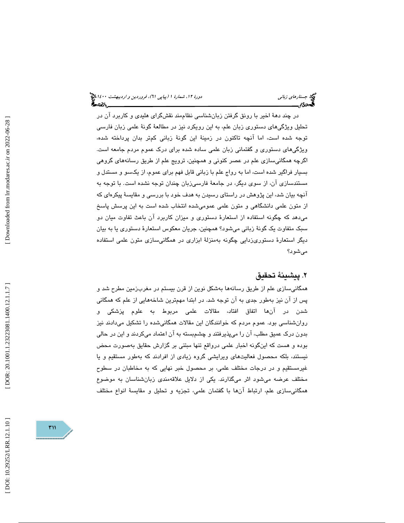در چند ده ة اخير با رونق گرفتن زبانشناسي نظاممند نقشگراي هليدي و كاربرد آن در تحليل ويژگيهاي دستوري زبان علم، به اين رويكرد نيز در مطالعهٔ گونهٔ علمي زبان فارسي توجه شده است، اما آنچه تاكنون در زمينهٔ اين گونهٔ زبانی كمتر بدان پرداخته شده، ويژگيهاي دستوري و گفتماني زبان علمي ساده شده براي درك عموم مردم جامعه است. گرچه همگانيسازي علم در عصر كنوني و همچنين ، ترويج علم از طريق رسانههاي گروهي ا بسيار فراگير شده است، اما به رواج علم با زباني قابل فهم براي عموم، از يكسو و مستدل و مستندسازی آن، از سوی دیگر، در جامعهٔ فارسیزبان چندان توجه نشده است. با توجه به آنچه بیان شد، این پژوهش در راستای رسیدن به هدف خود با بررسی و مقایسهٔ پیکرهای که از متون علمي دانشگاهي و متون علمي عموميشده انتخاب شده است به اين پرسش پاسخ ميدهد كه چگونه استفاده از استعار ة دستوري و ميزان كاربرد آن باعث تفاوت ميان دو سبک متفاوت يک گونهٔ زباني ميشود؟ همچنين، جريان معکوس استعارهٔ دستوري يا به بيان ديگر استعار ة دستوريزدايي چگونه بهمنزلة ابزاري در همگانيسازي متون علمي استفاده ميشود ؟

# ٢. يىشىنۀ تحقىق

همگانيسازي علم از طريق رسانهها بهشكل نوين از قرن بيستم در مغربزمين مطرح شد و پس از آن نيز بهطور جدي به آن توجه شد. در ابتدا مهمترين شاخههايي از علم كه همگاني شدن در آنها اتفاق افتاد، مقالات علمي مربوط به علوم پزشكي و روانشناسي بود. عموم مردم كه خوانندگان اين مقالات همگانيشده را تشكيل ميدادند نيز بدون درک عمیق مطلب، آن را میپذیرفتند و چشمبسته به آن اعتماد میکردند و این در حالی بوده و هست كه اينگونه اخبار علمي درواقع تنها مبتني بر گزارش حقايق بهصورت محض نيستند، بلكه محصول فعاليتهاي ويرايشي گروه زيادي از افرادند كه بهطور مستقيم و يا غيرمستقيم و در درجات مختلف علمي، بر محصول خبر نهايي كه به مخاطبان در سطوح مختلف عرضه ميشود اثر ميگذارند. يكي از دلايل علاقهمندي زبانشناسان به موضوع همگانيسازي علم، ارتباط آنها با گفتمان علمي، تجزيه و تحليل و مقايس ة انواع مختلف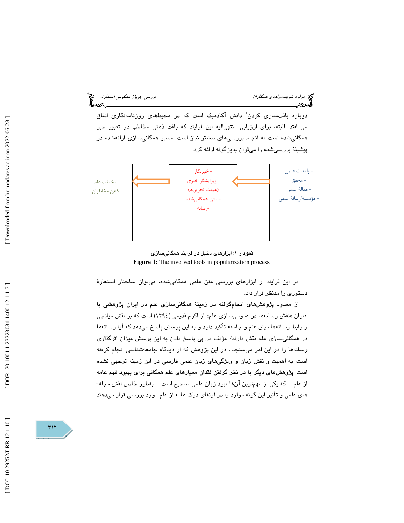مولود شريعت *زاده و همكاران بررسي جريان معكوس استعارة..*. م<sup>وقع</sup><br>**مجموع ترجمي بررسي بررسي بررسي بررسي بررسي جريان معكوم السياسي بررسي جريان معكوم استعارة... م<sup>وقع</sup>** 

دوباره بافتسازی کردن<sup>٬</sup> دانش آکادمیک است که در محیطهای روزنامهنگاری اتفاق مي افتد. البته ، براي ارزيابي منتهياليه اين فرايند كه بافت ذهني مخاطب در تعبير خبر همگاني شده است به انجام بررسي هاي بيشتر نياز است. مسير همگاني سازي ارائه شده در پيشينهٔ بررسيشده را ميتوان بدينگونه ارائه كرد:



نمودار ۱: ابزارهای دخیل در فرایند همگانیسازی Figure 1: The involved tools in popularization process

در اين فرايند از ابزارهاي بررسي متن علمي همگانيشده، ميتوان ساختار استعار ة دستوري را مدنظر قرار داد.

از معدود پژوهشهای انجامگرفته در زمینهٔ همگانیسازی علم در ایران پژوهشی با نقش رسانهها در عموميسازي علم» از اكرم قديمي ( 1394) است كه بر نقش ميانجي عنوان « و رابط رسانهها ميان علم و جامعه تأكيد دارد و به اين پرسش پاسخ ميدهد كه آيا رسانهها در همگانيسازي علم نقش دارند؟ مؤلف در پي پاسخ دادن به اين پرسش ميزان اثرگذاري رسانهها را در اين امر ميسنجد . در اين پژوهش كه از ديدگاه جامعهشناسي انجام گرفته است ، به اهميت و نقش زبان و ويژگيهاي زبان علمي فارسي در اين زمينه توجهي نشده است. پژوهشهای دیگر با در نظر گرفتن فقدان معیارهای علم همگانی برای بهبود فهم عامه<br>از علم ـــ که یکی از مهمترین آنها نبود زبان علمی صـحیح است ـــ بهطور خاص نقش مجله-های علمی و تأثیر این گونه موارد را در ارتقای درک عامه از علم مورد بررسی قرار میدهند

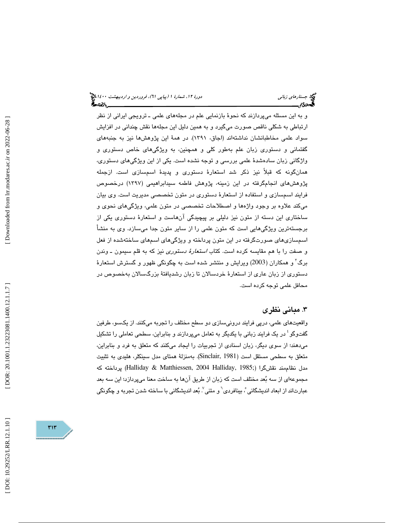و به اين مسئله ميپردازند كه نحو ة بازنمايي علم در مجلههاي علمي ـ ترويجي ايراني از نظر ارتباطي به شكلي ناقص صورت ميگيرد و به همين دليل اين مجلهها نقش چنداني در افزايش سواد علمي مخاطبانشان نداشتهاند (اجاق، ١٣٩١). در همهٔ اين پژوهشها نيز به جنبههاي گفتماني و دستوري زبان علم بهطور كلي و همچنين ، به ويژگيهاي خاص دستوري و واژگاني زبان سادهشدهٔ علمي بررسي و توجه نشده است. يكي از اين ويژگيهاي دستوري، همانگونه كه قبلاً نيز ذكر شد استعارهٔ دستوری و پديدهٔ اسمسازی است. ازجمله ژپ وهشهاي انجامگرفته در اين زمينه، پژوهش فاطمه سيدابراهيمي ( 1397) درخصوص فرايند اسمسازي و استفاده از استعار ة دستوري در متون تخصصي مديريت است. وي بيان مي كند علاوه بر وجود واژهها و اصطلاحات تخصصي در متون علمي، ويژگيهاي نحوي و ساختاري اين دسته از متون نيز دليلي بر پيچيدگي آنهاست و استعار ة دستوري يكي از برجستهترين ويژگيهايي است كه متون علمي را از ساير متون جدا ميسازد. وي به منش أ اسمسازيهاي صورتگرفته در اين متون پرداخته و ويژگيهاي اسمهاي ساختهشده از فعل و صفت را با هم مقايسه كرده است. كتاب *استعارهٔ دستوري* نيز كه به قلم سيمون ـ وندن برگ 3 و همكاران ( 2003) ويرايش و منتشر شده است به چگونگي ظهور و گسترش استعار ة دستوری از زبان عاری از استعارهٔ خردسالان تا زبان رشدیافتهٔ بزرگسالان بهخصوص در محافل علمي توجه كرده است.

# 3. مباني نظري

واقعيتهاي علمي، درپي فرايند درونيسازي دو سطح مختلف را تجربه ميكنند. از يكسو، طرفين گفتوگو ٔ در یک فرایند زبانی با یکدیگر به تعامل میپردازند و بنابراین، سطحی تعاملی را تشکیل مي دهند؛ از سوي ديگر، زبان اسنادي از تجربيات را ايجاد ميكنند كه متعلق به فرد و بنابراين، متعلق به سطحي مستقل است (Sinclair, 1981). بهمنزلة همتاي مدل سينكلر، هليدي به تثبيت مدل نظامِمند نقشگرا (;Halliday & Matthiessen, 2004 Halliday, 1985) پرداخته كه مجموعهاي از سه بعد مختلف است كه زبان از طريق آنها به ساخت معنا ميپردازد؛ اين سه بعد عبارتاند از ابعاد اندیشگانی ْ، بینافردی<sup>٦</sup> و متنی ْ. بُعد اندیشگانی با ساخته شدن تجربه و چگونگی<br>-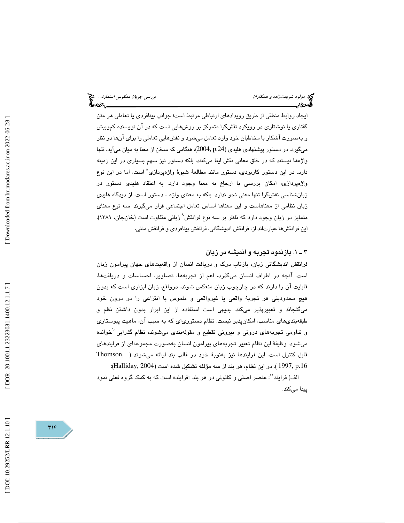ايجاد روابط منطقي از طريق رويدادهاي ارتباطي مرتبط است؛ جوانب بينافردي يا تعاملي هر متن گفتاری یا نوشتاری در رویکرد نقشگرا متمرکز بر روشهایی است که در آن نویسنده کموبیش و بهصورت آشكار با مخاطبان خود وارد تعامل ميشود و نقشهايي تعاملي را براي آنها در نظر ميگيرد. در دستور پيشنهادي هليدي (.24p 2004,(، هنگامي كه سخن از معنا به ميان ميآيد، تنها واژه ها نيستند كه در خلق معاني نقش ايفا ميكنند، بلكه دستور نيز سهم بسياري در اين زمينه دارد. در اين دستور كاربردي، دستور مانند مطالعة شيوة واژهپردازي 8 است، اما در اين نوع واژهپردازي، امكان بررسي با ارجاع به معنا وجود دارد. به اعتقاد هليدي دستور در زبانشناسي نقشگرا تنها معني نحو ندارد، بلكه به معناي واژه ـ دستور است. از ديدگاه هليدي زبان نظامي از معناهاست و اين معناها اساس تعامل اجتماعي قرار ميگيرند. سه نوع معناي متمايز در زبان وجود دارد كه ناظر بر سه نوع فرانقش ْ زباني متفاوت است (خانجان، ١٣٨١). اين فرانقشها عبارتاند از: فرانقش انديشگاني، فرانقش بينافردي و فرانقش متني.

# . 1ـ 3 بازنمود تجربه و انديشه در زبان

فرانقش انديشگاني زبان، بازتاب درك و دريافت انسان از واقعيتهاي جهان پيرامون زبان است. آنچه در اطراف انسان ميگذرد، اعم از تجربهها، تصاوير، احساسات و دريافتها، قابليت آن را دارند كه در چارچوب زبان منعكس شوند. درواقع ، زبان ابزاري است كه بدون هيچ محدوديتي هر تجربةً واقعي يا غيرواقعي و ملموس يا انتزاعي را در درون خود ميگنجاند و تعبيرپذير ميكند. بديهي است استفاده از اين ابزار بدون داشتن نظم و طبقهبنديهاي مناسب، امكانپذير نيست. نظام دستورياي كه به سبب آن، ماهيت پيوستاري و تداومي تجربههاي دروني و بيروني تقطيع و مقولهبندي ميشوند، نظام گذرايي کخوانده ميشود. وظيفهٔ اين نظام تعبير تجربههاي پيرامون انسان بهصورت مجموعهاي از فرايندهاي قابل كنترل است. اين فرايندها نيز بهنوبة خود در قالب بند ارائه مي شوند ( ,Thomson .16p 1997,( . در اين نظام، هر بند از سه مؤلفه تشكيل شده است (2004 ,Halliday( :

الف) فرايند'': عنصر اصلي و كانوني در هر بند «فرايند» است كه به كمك گروه فعلي نمود پيدا ميكند.

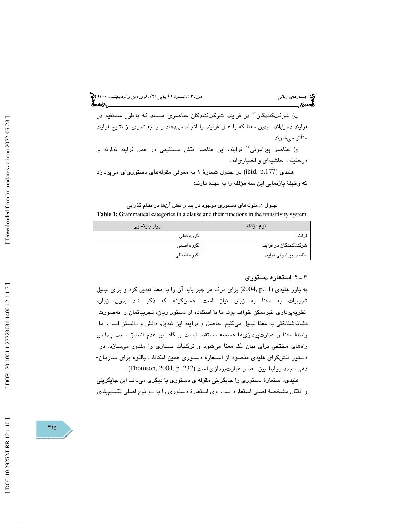(پياپي 61)، فروردين و ارديبهشت 1400 جستارهاي زباني دورة ،12 شمارة 1

ب) شركتكنندگان<sup>۱٬</sup> در فرايند: شركتكنندگان عناصر*ی* هستند كه بهطور مستقيم در فرايند دخيلاند. بدين معنا كه يا عمل فرايند را انجام ميدهند و يا به نحوي از نتايج فرايند متأثر ميشوند .

ج) عناصر پيراموني<sup>11</sup> فرايند: اين عناصر نقش مستقيمي در عمل فرايند ندارند و درحقيقت ، حاشيهاي و اختيارياند.

هلیدی (ibid, p.177) در جدول شمارهٔ ۱ به معرفی مقولههای دستوریای میپردازد كه وظيفة بازنمايي اين سه مؤلفه را به عهده دارند:

جدول ۱: مقولههای دستوری موجود در بند و نقش آنها در نظام گذرایی Table 1: Grammatical categories in a clause and their functions in the transitivity system

| ابزار بازنمایی     | نوع مؤلفه             |  |
|--------------------|-----------------------|--|
| گروہ فعلی          | فرايند                |  |
| گروہ اسمی          | شرکتکنندگان در فرایند |  |
| گروہ اضاف <i>ی</i> | عناصر پیرامونی فرایند |  |

#### 2ـ 3 . استعاره دستوري

به باور هلیدی (p.11 ,2004) برای درک هر چیز باید آن را به معنا تبدیل کرد و برای تبدیل تجربيات به معنا به زبان نياز است. همانگونه كه ذكر شد بدون زبان، نظريهپردازي غيرممكن خواهد بود. ما با استفاده از دستور زبان، تجربياتمان را بهصورت نشانهشناختي به معنا تبديل ميكنيم. حاصل و برآيند اين تبديل، دانش و دانستن است، اما رابطهٔ معنا و عبارتپردازیها همیشه مستقیم نیست و گاه این عدم انطباق سبب پیدایش راههاي مختلفي براي بيان يک معنا ميشود و ترکيبات بسياري را مقدور ميسازد. در دستور نقشگراي هليدي مقصود از استعارة دستوري همين امكانات بالقوه براي سازمان- دهي مجدد روابط بين معنا و عبارتپردازي است (232 .p 2004, ,Thomson(.

هليدي، استعارة دستوري را جايگزيني مقوله اي دستوري با ديگري ميداند. اين جايگزيني و انتقال مشخص ة اصلي استعاره است. وي استعار ة دستوري را به دو نوع اصلي تقسيمبندي

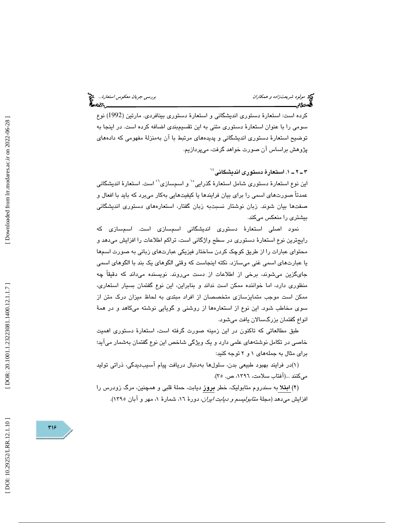كرده است: استعارهٔ دستوري انديشگاني و استعارهٔ دستوري بينافردي. مارتين (1992) نوع سومي را با عنوان استعار ة دستوري متني به اين تقسيمبندي اضافه كرده است. در اينجا به توضيح استعار ة دستوري انديشگاني و پديدههاي مرتبط با آن بهمنزلة مفهومي كه دادههاي پژوهش براساس آن صورت خواهد گرفت ، ميپردازيم.

. 1ـ 2ـ 3 استعار ة دستوري انديشگاني 14

اين نوع استعارهٔ دستوري شامل استعارهٔ گذرايي <sup>۱۰</sup> و اسمسازي<sup>۱۰</sup> است. استعارهٔ انديشگاني عمدتاً صورتهاي اسمي را براي بيان فرايندها يا كيفيتهايي بهكار ميبرد كه بايد با افعال و صفتها بيان شوند. زبان نوشتار نسبتبه زبان گفتار، استعارههاي دستوري انديشگاني بيشتري را منعكس ميكند.

نمود اصلی استعارهٔ دستوری اندیشگانی اسمسازی است. اسمسازی که رايجترين نوع استعار ة دستوري در سطح واژگاني است، تراكم اطلاعات را افزايش ميدهد و محتواي عبارات را از طريق كوچك كردن ساختار فيزيكي عبارتهاي زباني به صورت اسمها يا عبارتهاي اسمي غني ميسازد. نكته اينجاست كه وقتي الگوهاي يك بند با الگوهاي اسمي جايگزين ميشوند، برخي از اطلاعات از دست ميروند. نويسنده ميداند كه دقيقاً چه منظوري دارد، اما خواننده ممكن است نداند و بنابراين، اين نوع گفتمان بسيار استعاري، ممكن است موجب متمايزسازي متخصصان از افراد مبتدي به لحاظ ميزان درك متن از سوي مخاطب شود . اين نوع از استعارهها از روشني و گويايي نوشته ميكاهد و در هم ة انواع گفتمان بزرگسالان يافت ميشود.

طبق مطالعاتي كه تاكنون در اين زمينه صورت گرفته است، استعار ة دستوري اهميت خاصي در تكامل نوشتههاي علمي دارد و يك ويژگي شاخص اين نوع گفتمان بهشمار ميآيد؛ براي مثال به جملههاي 2و 1 توجه كنيد :

)1( در فرايند بهبود طبيعي بدن، سلولها بهدنبال دريافت پيام آسيبديدگي، ذراتي توليد ميكنند ...(آفتاب سلامت، ١٣٩٦، ص. ٣٥).

(۲) ا**بت**لا به سندروم متابوليك، خطر **بروز** ديابت، حملهٔ قلبي و همچنين، مرگ زودرس را افزايش ميدهد (مجلهٔ *متابوليسم و ديابت ايران*، دورهٔ ١٦، شمارهٔ ١، مهر و آبان ١٣٩٥).

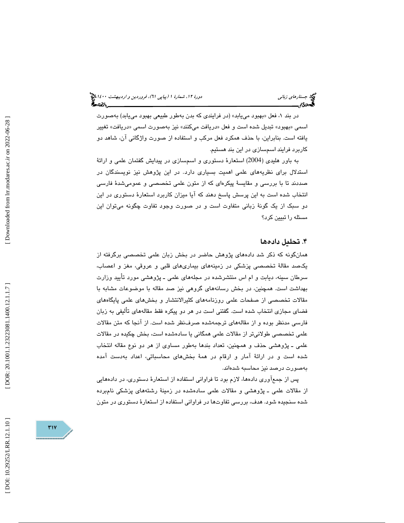در بند ۱، فعل «بهبود مییابد» (در فرایندی که بدن بهطور طبیعی بهبود مییابد) بهصورت اسمي «بهبود» تبديل شده است و فعل «دريافت ميكنند» نيز بهصورت اسمي «دريافت» تغيير يافته است. بنابراين ، با حذف همكرد فعل مركب و استفاده از صورت واژگاني آن، شاهد دو كاربرد فرايند اسمسازي در اين بند هستيم.

به باور هليدي (2004) استعارهٔ دستوري و اسمسازي در پيدايش گفتمان علمي و ارائهٔ استدلال براي نظريههاي علمي اهميت بسياري دارد. در اين پژوهش نيز نويسندگان در صددند تا با بررسی و مقايسهٔ پيكرهای كه از متون علمی تخصصی و عمومیشدهٔ فارسی انتخاب شده است به اين پرسش پاسخ دهند كه آيا ميزان كاربرد استعار ة دستوري در اين دو سبک از يک گونهٔ زباني متفاوت است و در صورت وجود تفاوت چگونه ميتوان اين مسئله را تبيين كرد؟

# 4. تحليل داده ها

همانگونه كه ذكر شد دادههاي پژوهش حاضر در بخش زبان علمي تخصصي برگرفته از يکصد مقالهٔ تخصصی پزشکی در زمينههای بيماریهای قلبی و عروقی، مغز و اعصاب، سرطان سينه، ديابت و ام اس منتشرشده در مجلههاي علمي ــ پژوهشي مورد تأييد وزارت بهداشت است . همچنين ، در بخش رسانه يها گروهي نيز صد مقاله با موضوعات مشابه با مقالات تخصصي از صفحات علمي روزنامههاي كثيرالانتشار و بخشهاي علمي پايگاههاي فضای مجازی انتخاب شده است. گفتنی است در هر دو پیکره فقط مقالههای تألیفی به زبان فارسی مدنظر بوده و از مقالههای ترجمهشده صرفنظر شده است. از آنجا كه متن مقالات علمی تخصصی طولانیتر از مقالات علمی همگانی یا سادهشده است، بخش چکیده در مقالات علمي ـ پژوهشي حذف و همچنين، تعداد بندها بهطور مساوي از هر دو نوع مقاله انتخاب شده است و در ارائهٔ آمار و ارقام در همهٔ بخش های محاسباتی، اعداد به دست آمده بهصورت درصد نيز محاسبه شدهاند.

پس از جمعآوری دادهها، لازم بود تا فراوانی استفاده از استعارهٔ دستوری، در دادههایی از مقالات علمي ــ پژوهشي و مقالات علمي سادهشده در زمينهٔ رشتههاي پزشكي نامېرده شده سنجيده شود. هدف، بررسي تفاوتها در فراواني استفاده از استعار ة دستوري در متون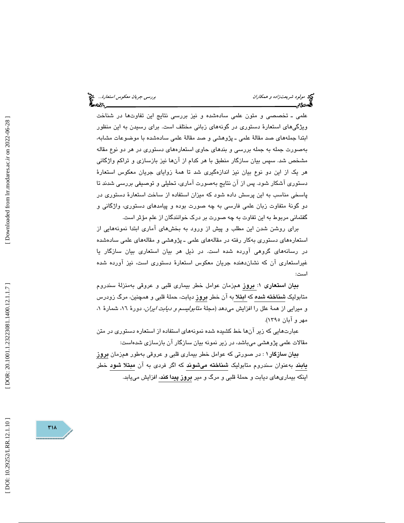علمي ـ تخصصي و متون علمي سادهشده و نيز بررسي نتايج اين تفاوتها در شناخت ويژگيهاي استعارهٔ دستوري در گونههاي زباني مختلف است. براي رسيدن به اين منظور ابتدا جملههای صد مقالهٔ علمی ـ پژوهشی و صد مقالهٔ علمی سادهشده با موضوعات مشابه، بهصورت جمله به جمله بررسي و بندهاي حاوي استعارههاي دستوري در هر دو نوع مقاله مشخص شد. سپس بيان سازگار منطبق با هر كدام از آن ها نيز بازسازي و تراكم واژگاني هر يک از اين دو نوع بيان نيز اندازهگيري شد تا همهٔ زواياي جريان معکوس استعارهٔ دستوري آشكار شود. پس از آن نتايج بهصورت آماري، تحليلي و توصيفي بررسي شدند تا پاسخي مناسب به اين پرسش داده شود كه ميزان استفاده از ساخت استعار ة دستوري در دو گونهٔ متفاوت زبان علمي فارسي به چه صورت بوده و پيامدهاي دستوري، واژگاني و گفتمانی مربوط به این تفاوت به چه صورت بر درک خوانندگان از علم مؤثر است.

براي روشن شدن اين مطلب و پيش از ورود به بخشهاي آماري ابتدا نمونههايي از استعارههاي دستوري بهكار رفته در مقالههاي علمي ـ پژوهشي و مقالههاي علمي سادهشده در رسانههاي گروهي آورده شده است . در ذيل هر بيان استعاري بيان سازگار يا غيراستعاري آن كه نشاندهنده جريان معكوس استعارهٔ دستوري است، نيز آورده شده است:

بيان استعاري 1: بروز همزمان عوامل خطر بيماري قلبي و عروقي بهمنزلة سندروم متابوليک **شناخته شده** که ا**بت**لا به آن خطر **بروز** ديابت، حملهٔ قلبی و همچنين، مرگ زودرس و ميرايي از همهٔ علل را افزايش مىدهد (مجلهٔ *متابوليسم و ديابت ايران،* دورهٔ ١٦، شمارهٔ ١، مهر و آبان 1395).

عبارتهايي كه زير آنها خط كشيده شده نمونههاي استفاده از استعاره دستوري در متن مقالات علمي پژوهشي ميباشد، در زير نمونه بيان سازگار آن بازسازي شدهاست:

**بیان سازگار ۱** : در صورتی كه عوامل خطر بیماری قلبی و عروقی بهطور همزمان **بروز** يابند به عنوان سندروم متابوليك شناخته ميشوند كه اگر فردي به آن مبتلا شود خطر اینكه بیماریهای دیابت و حملهٔ قلبی و مرگ و میر **بروز پیدا كند**، افزایش می<sub>ل</sub>ابد.

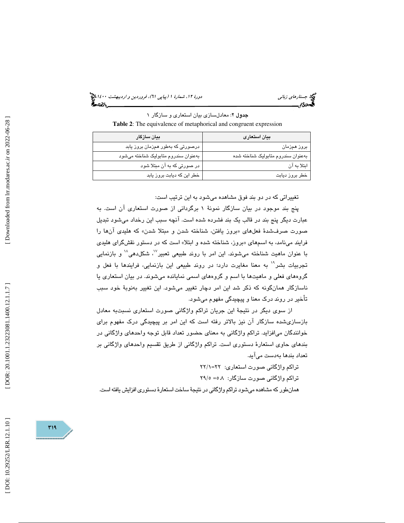(پياپي 61)، فروردين و ارديبهشت 1400 جستارهاي زباني دورة ،12 شمارة 1

جدول 2: معادلسازي بيان استعاري و سازگار 1 **Table 2**: The equivalence of metaphorical and congruent expression

| بيان سازگار                          | بيان استعارى                       |
|--------------------------------------|------------------------------------|
| درصورتی که بهطور همزمان بروز یابد    | بروز همزمان                        |
| بهعنوان سندروم متابوليک شناخته مىشود | بەعنوان سندروم متابولیک شناخته شده |
| در صورتی که به آن مبتلا شود          | ابتلا به آن                        |
| خطر این که دیابت بروز یابد           | خطر بروز ديابت                     |

تغييراتي كه در دو بند فوق مشاهده ميشود به اين ترتيب است :

پنج بند موجود در بيان سازگار نمونهٔ ١ برگرداني از صورت استعاري آن است. به عبارت ديگر پنج بند در قالب يك بند فشرده شده است. آنچه سبب اين رخداد ميشود تبديل صورت صرفشدهٔ فعلهای «بروز یافتن، شناخته شدن و مبتلا شدن» که هلیدی آنها را فرايند ميiامد، به اسمهاي «بروز، شناخته شده و ابتلا» است كه در دستور نقشگراي هليدي با عنوان ماهيت شناخته ميشوند. اين امر با روند طبيعي تعبير<sup>١٧</sup>، شكل**دهي<sup>٦٨</sup> و بازنمايي** تجربيات بشر<sup>١٠</sup> به معنا مغايرت دارد؛ در روند طبيعي اين بازنمايي، فرايندها با فعل و گروههاي فعلي و ماهيتها با اسم و گروههاي اسمي نمايانده ميشوند . در بيان استعاري يا ناسازگار همانگونه كه ذكر شد اين امر دچار تغيير مي شود. اين تغيير بهنوبهٔ خود سبب أت خير در روند درك معنا و پيچيدگي مفهوم ميشود .

از سوي ديگر در نتيجهٔ اين جريان تراكم واژگاني صورت استعاري نسبتبه معادل بازسازيشده سازگار آن نيز بالاتر رفته است كه اين امر بر پيچيدگي درك مفهوم براي خوانندگان ميافزايد. تراكم واژگاني به معناي حضور تعداد قابل توجه واحدهاي واژگاني در بندهاي حاوي استعار ة دستوري است. تراكم واژگاني از طريق تقسيم واحدهاي واژگاني بر تعداد بندها بهدست ميآيد.

تراكم واژگاني صورت استعاري: 1/=22 22 تراكم واژگاني صورت سازگار: 5.8 5/= 29 همانطور كه مشاهده ميشود تراكم واژگاني در نتيجة ساخت استعارة دستوري افزايش يافته است.

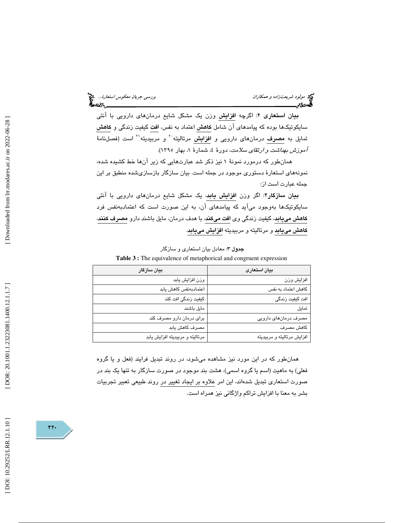**بيان استعاري ٢:** اگرچه <mark>افزايش</mark> وزن يک مشکل شايع درمانهاي دارويي با آنتي سايكوتيكها بوده كه پيامدهاي آن شامل كاهش اعتماد به نفس، افت كيفيت زندگي و كاهش تمايل به مصرف درمانهای دارويی و ا**فزايش** مرتاليته<sup>٢٠</sup> و مربيديته<sup>٢١</sup> است (فصلنامهٔ آموزش بهداشت و ارتقاي سلامت ، دور 4، ة شمار 1، ة بهار 1395 ).

همانطور كه درمورد نمونهٔ ۱ نیز ذکر شد عبارتهایی که زیر آنها خط کشیده شده، نمونههاي استعار ة دستوري موجود در جمله است. بيان سازگار بازسازيشده منطبق بر اين جمله عبارت است از:

بيان سازگار٢: اگر وزن افزايش يابد، يک مشكل شايع درمانهاي دارويي با آنتي سايكوتيكها بهوجود ميآيد كه پيامدهاي آن، به اين صورت است كه اعتمادبهنفس فرد كاهش مييابد، كيفيت زندگي وي افت ميكند، با هدف درمان، مايل باشند دارو مصرف كنند، كاهش مييابد و مرتاليته و مربيديته افزايش مييابد .

| بيان سازگار                     | بيان استعارى               |
|---------------------------------|----------------------------|
| وزن افزايش يابد                 | افزايش وزن                 |
| اعتمادبهنفس كاهش يابد           | كاهش اعتماد به نفس         |
| کیفیت زندگی افت کند             | افت کیفیت زندگی            |
| مایل باشند                      | تمايل                      |
| برای درمان دارو مصرف کند        | مصرف درمانهای دارویی       |
| مصرف كاهش يابد                  | كاهش مصرف                  |
| مرتاليته و مربيديته افزايش يابد | افزايش مرتاليته و مربيديته |
|                                 |                            |

جدول 3: معادل بيان استعاري و سازگار **Table 3 :** The equivalence of metaphorical and congruent expression

همانطور كه در اين مورد نيز مشاهده ميشود ، در روند تبديل فرايند (فعل و يا گروه فعلي) به ماهيت (اسم يا گروه اسمي)، هشت بند موجود در صورت سازگار به تنها يك بند در صورت استعاري تبديل شدهاند، اين امر علاوه بر ايجاد تغيير در روند طبيعي تعبير تجربيات بشر به معنا با افزايش تراكم واژگاني نيز همراه است .

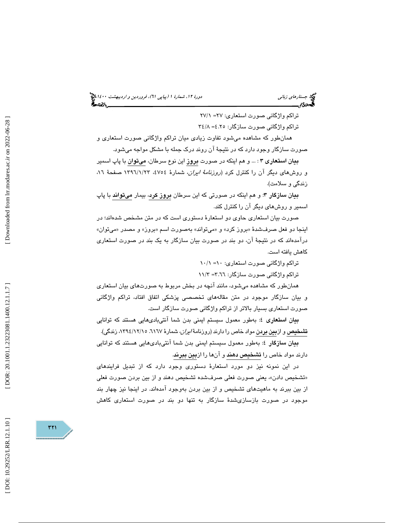(پياپي 61)، فروردين و ارديبهشت 1400 جستارهاي زباني دورة ،12 شمارة 1

تراكم واژگاني صورت استعاري: 27 1/= 27 تراكم واژگاني صورت سازگار: 4.25 8/= 34

 همانطور كه مشاهده ميشود تفاوت زيادي ميان تراكم واژگاني صورت استعاري و صورت سازگار وجود دارد كه در نتيجهٔ آن روند درک جمله با مشكل مواجه ميشود.

بيان استعاري 3 : ... و هم اينكه در صورت بروز اين نوع سرطان، ميتوان با پاپ اسمير و روشهاي ديگر آن را كنترل كرد (*روزنامة ايران*، شمارهٔ ،476/ ١٣٩٦/١/٢٣ صفحهٔ ١٦، زندگي و سلامت).

**بيان سازگار ٣**: و هم اينكه در صورتي كه اين سرطان **بروز كرد**، بيمار **ميتواند** با پاپ اسمير و روشهاي ديگر آن را كنترل كند.

صورت بيان استعاري حاوي دو استعار ة دستوري است كه در متن مشخص شدهاند؛ در اينجا دو فعل صرفشدهٔ «بروز كرد» و «ميتواند» بهصورت اسم «بروز» و مصدر «ميتوان» درآمدهاند كه در نتيجهٔ آن، دو بند در صورت بيان سازگار به يک بند در صورت استعاري كاهش يافته است.

تراكم واژگانی صورت استعاری: ۱۰= ۱۰/۱

تراكم واژگانی صورت سازگار: ٦.٦٦= ١١/٣

همانطور كه مشاهده ميشود ، مانند آنچه در بخش مربوط به صورتهاي بيان استعاري و بيان سازگار موجود در متن مقالههاي تخصصي پزشكي اتفاق افتاد ، تراكم واژگاني صورت استعاري بسيار بالاتر از تراكم واژگاني صورت سازگار است.

بيان استعاري ٤: بهطور معمول سيستم ايمني بدن شما آنتيباديهايي هستند كه توانايي <mark>تشخیص</mark> و از<mark>بین بردن</mark> مواد خاص را دارند (روزنامهٔ *ایران*، شمارهٔ ۲۱٦۷. ۱۳۹٤/۱۲/۱۰ زندگی).

**بیا**ن **سازگار** ٤: بهطور معمول سیستم ایمنی بدن شما آنتیبادیهایی هستند که توانایی دارند مواد خاص را تشخيص دهند و آنها را ازبين ببرند .

در اين نمونه نيز دو مورد استعارة دستوري وجود دارد كه از تبديل فرايندهاي «تشخيص دادن»، يعني صورت فعلي صرفشده تشخيص دهند و از بين بردن صورت فعلي از بين ببرند به ماهيتهاي تشخيص و از بين بردن بهوجود آمدهاند. در اينجا نيز چهار بند موجود در صورت بازسازيشدة سازگار به تنها دو بند در صورت استعاري كاهش

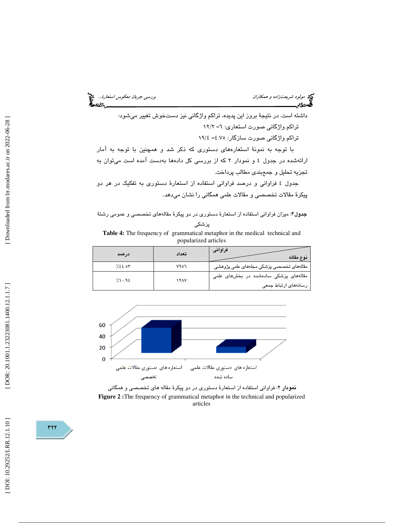مولود شريعتزاده و همكاران بررسي جريان مع*كوس استعارة...*. وهم<br>المحمد التي يستعد بررسي بررسي بررسي بررسي بررسي جريان معكوس استعارة...<br>**المحمد التي يستعد بررسي بررسي بررسي بررسي بررسي بررسي بررسي بررسي بررسي بررسي بررسي برر** 

داشته است. در نتيجة بروز اين پديده، تراكم واژگاني نيز دستخوش تغيير ميشود: تراکم واژگانی صورت استعاری: ٦= ١٢/٢ تراكم واژگاني صورت سازگار: 4.75 4/= 19 با توجه به نمونهٔ استعارههای دستوری كه ذكر شد و همچنین با توجه به آمار ارائهشده در جدول 4 و نمودار 2 كه از بررسي كل دادهها بهدست آمده است ميتوان به

تجزيه تحليل و جمعبندي مطالب پرداخت.

جدول ٤ فراواني و درصد فراواني استفاده از استعارهٔ دستوري به تفكيك در هر دو پيكر ة مقالات تخصصي و مقالات علمي همگاني را نشان ميدهد.

جدول 4: ميزان فراواني استفاده از استعار ة دستوري در دو پيكر ة مقالههاي تخصصي و عمومي رشت ة

**Table 4:** The frequency of grammatical metaphor in the medical technical and popularized articles

| درصد                     | تعداد                                 | فراوانى<br>نوع مقاله                     |
|--------------------------|---------------------------------------|------------------------------------------|
| 7.88.07                  | ۷۹٥٦                                  | مقالههای تخصصی پزشکی مجلههای علمی پژوهشی |
| 7.1.92<br><b>1 Y A V</b> | مقالههای پزشکی سادهشده در بخشهای علمی |                                          |
|                          | رسانەھای ارتباط جمعی                  |                                          |
|                          |                                       |                                          |



نمودار 2: فراواني استفاده از استعار ة دستوري در دو پيكر ة مقاله هاي تخصصي و همگاني **Figure 2 :**The frequency of grammatical metaphor in the technical and popularized articles

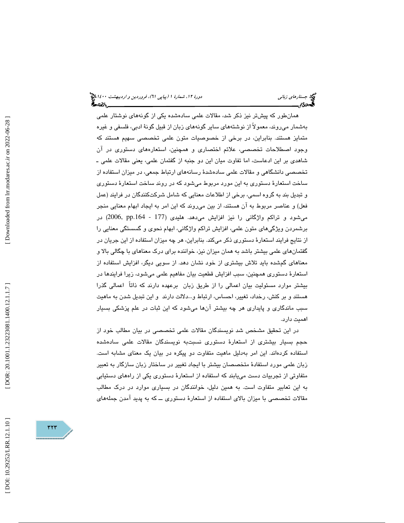همانطور كه پيشتر نيز ذكر شد، مقالات علمی سادهشده يكی از گونههای نوشتار علمی بهشمار ميروند، معمولاً از نوشتههاي ساير گونههاي زبان از قبيل گون ة ادبي، فلسفي و غيره متمايز هستند. بنابراين ، در برخي از خصوصيات متون علمي تخصصي سهيم هستند كه وجود اصطلاحات تخصصي، علائم اختصاري و همچنين ، استعارههاي دستوري در آن شاهدي بر اين ادعاست، اما تفاوت ميان اين دو جنبه از گفتمان علمي، يعني مقالات علمي ـ تخصصي دانشگاهي و مقالات علمي ساده ةشد رسانههاي ارتباط جمعي، در ميزان استفاده از ساخت استعار ة دستوري به اين مورد مربوط ميشود كه در روند ساخت استعار ة دستوري و تبديل بند به گروه اسمي، برخي از اطلاعات معنايي كه شامل شركتكنندگان در فرايند (عمل فعل) و عناصر مربوط به آن هستند، از بين ميروند كه اين امر به ايجاد ابهام معنايي منجر میشود و تراكم واژگانی را نیز افزایش میدهد. هلیدی (177 - 2006, pp.164) در برشمردن ويژگيهاي متون علمي، افزايش تراكم واژگاني، ابهام نحوي و گسستگي معنايي را از نتايج فرايند استعارهٔ دستوري ذكر ميكند. بنابراين، هر چه ميزان استفاده از اين جريان در گفتمانهاي علمي بيشتر باشد به همان ميزان نيز، خواننده براي درك معناهاي با چگالي بالا و معناهاي گمشده بايد تلاش بيشتري از خود نشان دهد. از سويي ديگر ، افزايش استفاده از استعارهٔ دستوری همچنین، سبب افزایش قطعیت بیان مفاهیم علمی میشود، زیرا فرایندها در بيشتر موارد مسئوليت بيان اعمالي را از طريق زبان برعهده دارند كه ذاتاً اعمالي گذرا هستند و بر كنش، رخداد، تغيير، احساس، ارتباط و…دلالت دارند ۖ و اين تبديل شدن به ماهيت سبب ماندگاري و پايداري هر چه بيشتر آنها ميشود كه اين ثبات در علم پزشكي بسيار اهميت دارد .

در اين تحقيق مشخص شد نويسندگان مقالات علمي تخصصي در بيان مطالب خود از حجم بسيار بيشتري از استعار ة دستوري نسبتبه نويسندگان مقالات علمي سادهشده استفاده كردهاند. اين امر بهدليل ماهيت متفاوت دو پيكره در بيان يك معناي مشابه است. زبان علمی مورد استفادهٔ متخصصان بیشتر با ایجاد تغییر در ساختار زبان سازگار به تعبیر متفاوتي از تجربيات دست مييابند كه استفاده از استعار ة دستوري يكي از راههاي دستيابي به اين تعابير متفاوت است. به همين دليل ، خوانندگان در بسياري موارد در درك مطالب مقالات تخصصي با ميزان بالاي استفاده از استعار ة دستوري ــ كه به پديد آمدن جملههاي

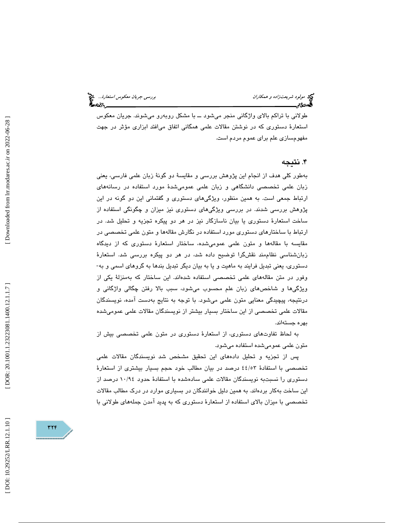طولاني با تراكم بالاي واژگاني منجر ميشود ــ با مشكل روبهرو ميشوند. جريان معكوس استعارهٔ دستوری که در نوشتن مقالات علمی همگانی اتفاق میافتد ابزاری مؤثر در جهت مفهومسازي علم براي عموم مردم است .

# . 4 نتيجه

بهطور كلي هدف از انجام اين پژوهش بررسي و مقايسهٔ دو گونهٔ زبان علمي فارسي، يعني زبان علمی تخصصی دانشگاهی و زبان علمی عمومیشدهٔ مورد استفاده در رسانههای ارتباط جمعی است. به همین منظور، ویژگیهای دستوری و گفتمانی این دو گونه در این پژوهش بررسی شدند. در بررسی ویژگیهای دستوری نیز میزان و چگونگی استفاده از ساخت استعارهٔ دستوری یا بیان ناسازگار نیز در هر دو پیکره تجزیه و تحلیل شد. در ارتباط با ساختارهای دستوری مورد استفاده در نگارش مقالهها و متون علمی تخصصی در مقایسه با مقالهها و متون علمی عمومیشده، ساختار استعارهٔ دستوری که از دیدگاه زبانشناسی نظاممند نقشگرا توضیح داده شد، در هر دو پیکره بررسی شد. استعارهٔ دستوري، يعني تبديل فرايند به ماهيت و يا به بيان ديگر تبديل بندها به گروهاي اسمي و به-وفور در متن مقالههای علمی تخصصی استفاده شدهاند. این ساختار که بهمنزلهٔ یکی از ویژگیها و شاخصهای زبان علم محسوب میشود، سبب بالا رفتن چگالی واژگانی و درنتيجه، پيچيدگي معنايي متون علمي ميشود. با توجه به نتايج بهدست آمده، نويسندگان مقالات علمی تخصصی از این ساختار بسیار بیشتر از نویسندگان مقالات علمی عمومیشده بهره جستهاند.

به لحاظ تفاوتهاي دستوري، از استعار ة دستوري در متون علمي تخصصي بيش از متون علمي عموميشده استفاده ميشود.

پس از تجزيه و تحليل دادههاي اين تحقيق مشخص شد نويسندگان مقالات علمي تخصصي با استفادة ٤٤/٥٣ درصد در بيان مطالب خود حجم بسيار بيشتري از استعارة دستوري را نسبتبه نويسندگان مقالات علمي سادهشده با استفادهٔ حدود ١٠/٩٤ درصد از اين ساخت به كار بردهاند. به همين دليل خوانندگان در بسياري موارد در درك مطالب مقالات تخصصي با میزان بالای استفاده از استعارهٔ دستوری که به پدید آمدن جملههای طولانی با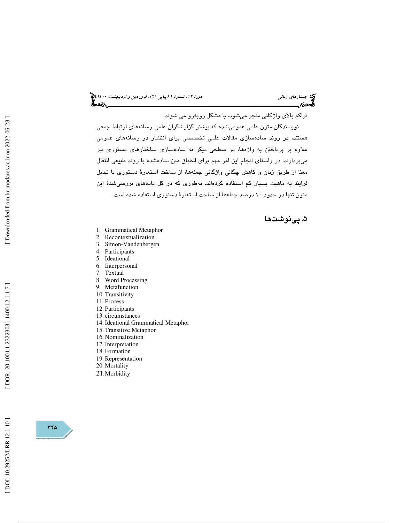(پياپي 61)، فروردين و ارديبهشت 1400 جستارهاي زباني دورة ،12 شمارة 1

تراكم بالاي واژگاني منجر ميشود، با مشكل روبهرو مي شوند.

نويسندگان متون علمی عمومیشده که بیشتر گزارشگران علمی رسانههای ارتباط جمعی هستند، در روند سادهسازی مقالات علمی تخصصی برای انتشار در رسانههای عمومی علاوه بر پرداختن به واژهها، در سطحی دیگر به سادهسازی ساختارهای دستوری نیز ميپردازند. در راستاي انجام اين امر مهم براي انطباق متن سادهشده با روند طبيعي انتقال معنا از طريق زبان و كاهش چگالی واژگانی جملهها، از ساخت استعارهٔ دستوری یا تبدیل فرايند به ماهيت بسيار كم استفاده كردهاند. بهطوری كه در كل دادههای بررسی شدهٔ این متون تنها در حدود ۱۰ درصد جملهها از ساخت استعارهٔ دستوری استقاده شده است.

# . پينوشتها 5

- 1. Grammatical Metaphor
- 2. Recontextualization
- 3. Simon-Vandenbergen
- 4. Participants
- 5. Ideational
- 6. Interpersonal
- 7. Textual
- 8. Word Processing
- 9. Metafunction
- 10. Transitivity
- 11. Process
- 12. Participants
- 13. circumstances
- 14. Ideational Grammatical Metaphor
- 15. Transitive Metaphor
- 16. Nominalization 17. Interpretation
- 18. Formation
- 19. Representation
- 20. Mortality
- 21.Morbidity



DOI: 10.29252/LRR.12.1.10]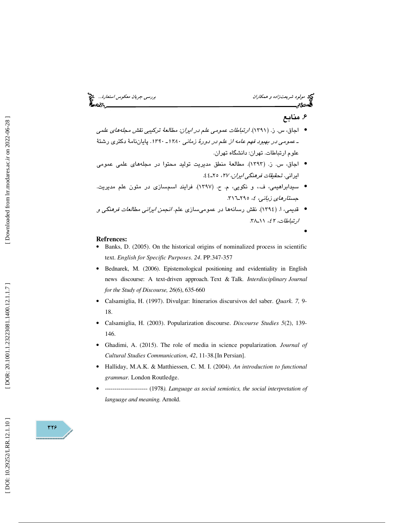مولود شريعت *زاده و همكاران بررسي جريان معكوس استعارة..*. مختلج<br>المحمد التي تاريخ بررسي بررسي بررسي بررسي بررسي جريان معكوس استعارة...<br>المحمد التي تاريخ بررسي بررسي بررسي بررسي بررسي بررسي بررسي بررسي بررسي بررسي بررسي بر

# . 6 منابع

•

- اجاق، س. ز. (١٣٩١). *ار*تب*اطات عمومی علم در ایران: مطالعهٔ تر*کیب*ی نقش مجلههای علمی* ـ *عمومی در بهبود فهم عامه از علم در دورهٔ زمانی ۱۲۸۰ـ ۱۳۹۰.* پایاننامهٔ دکتری رشتهٔ<br>علوم ارتباطات. تهران: دانشگاه تهران.
- اجاق، س. ز. (١٣٩٣). مطالعةً منطق مديريت توليد محتوا در مجلههاي علمي عمومي ايراني . تحقيقات فرهنگي ايران، ،27 ـ25 44.
- سيدابراهيمي، ف.، و نكويي، م. ح. (١٣٩٧). فرايند اسمسازي در متون علم مديريت. جست*ارهاي زباني، ٤،* ٢٩٥-٣١٦.
- قديمي، ا. (١٣٩٤). نقش رسانهها در عموميسازي علم. *انجمن ايراني مطالعات فرهنگي و* ارتباطات، ٤٢، ١١\_٣٨.

- **Refrences:**  Banks, D. (2005). On the historical origins of nominalized process in scientific text. *English for Specific Purposes*. *24*. PP.347-357
- Bednarek, M. (2006). Epistemological positioning and evidentiality in English news discourse: A text-driven approach. Text & Talk. *Interdisciplinary Journal for the Study of Discourse, 26*(6), 635-660
- Calsamiglia, H. (1997). Divulgar: Itinerarios discursivos del saber. *Quark. 7,* 9- 18.
- Calsamiglia, H. (2003). Popularization discourse. *Discourse Studies 5*(2), 139- 146.
- Ghadimi, A. (2015). The role of media in science popularization*. Journal of Cultural Studies Communication*, *42*, 11-38.[In Persian].
- Halliday, M.A.K. & Matthiessen, C. M. I. (2004). *An introduction to functional grammar.* London Routledge.
- ---------------------- (1978*). Language as social semiotics, the social interpretation of language and meaning.* Arnold.

379